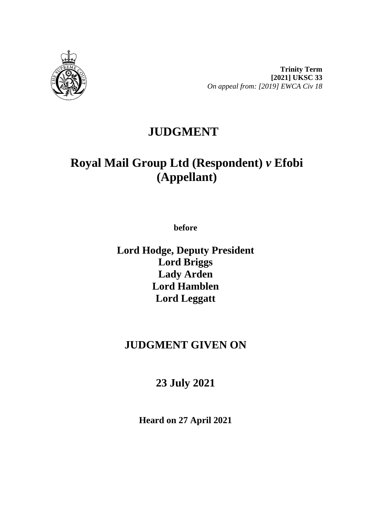

**Trinity Term [2021] UKSC 33** *On appeal from: [2019] EWCA Civ 18*

# **JUDGMENT**

# **Royal Mail Group Ltd (Respondent)** *v* **Efobi (Appellant)**

**before** 

**Lord Hodge, Deputy President Lord Briggs Lady Arden Lord Hamblen Lord Leggatt**

# **JUDGMENT GIVEN ON**

# **23 July 2021**

**Heard on 27 April 2021**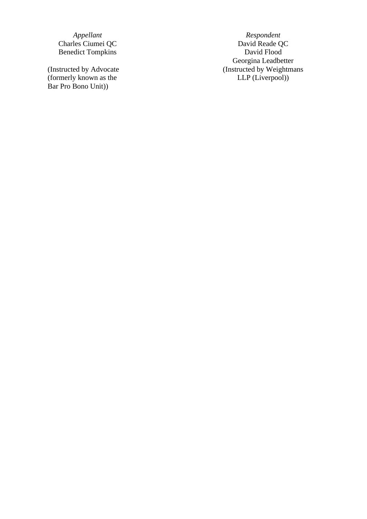Benedict Tompkins

(Instructed by Advocate (formerly known as the Bar Pro Bono Unit) )

*Appellant Respondent* Charles Ciumei QC<br>
Benedict Tompkins
David Reade QU<br>
David Roade QU<br>
David Roade QU<br>
David Roade QU<br>
David Roade QU<br>
David Roade QU<br>
David Roade QU<br>
David Roade QU<br>
David Roade D Georgina Leadbetter (Instructed by Weightmans LLP (Liverpool) )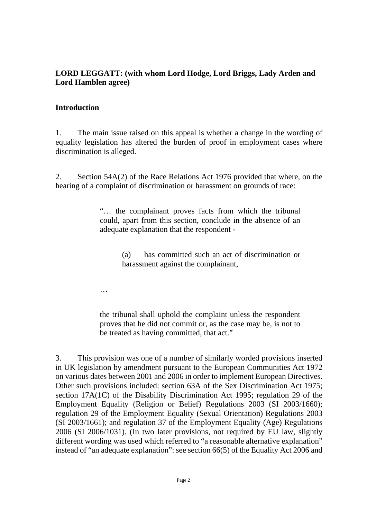## **LORD LEGGATT: (with whom Lord Hodge, Lord Briggs, Lady Arden and Lord Hamblen agree)**

### **Introduction**

1. The main issue raised on this appeal is whether a change in the wording of equality legislation has altered the burden of proof in employment cases where discrimination is alleged.

2. Section 54A(2) of the Race Relations Act 1976 provided that where, on the hearing of a complaint of discrimination or harassment on grounds of race:

> "… the complainant proves facts from which the tribunal could, apart from this section, conclude in the absence of an adequate explanation that the respondent -

> > (a) has committed such an act of discrimination or harassment against the complainant,

…

the tribunal shall uphold the complaint unless the respondent proves that he did not commit or, as the case may be, is not to be treated as having committed, that act."

3. This provision was one of a number of similarly worded provisions inserted in UK legislation by amendment pursuant to the European Communities Act 1972 on various dates between 2001 and 2006 in order to implement European Directives. Other such provisions included: section 63A of the Sex Discrimination Act 1975; section 17A(1C) of the Disability Discrimination Act 1995; regulation 29 of the Employment Equality (Religion or Belief) Regulations 2003 (SI 2003/1660); regulation 29 of the Employment Equality (Sexual Orientation) Regulations 2003 (SI 2003/1661); and regulation 37 of the Employment Equality (Age) Regulations 2006 (SI 2006/1031). (In two later provisions, not required by EU law, slightly different wording was used which referred to "a reasonable alternative explanation" instead of "an adequate explanation": see section 66(5) of the Equality Act 2006 and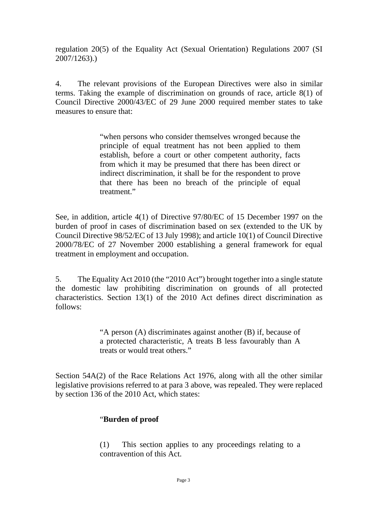regulation 20(5) of the Equality Act (Sexual Orientation) Regulations 2007 (SI 2007/1263).)

4. The relevant provisions of the European Directives were also in similar terms. Taking the example of discrimination on grounds of race, article 8(1) of Council Directive 2000/43/EC of 29 June 2000 required member states to take measures to ensure that:

> "when persons who consider themselves wronged because the principle of equal treatment has not been applied to them establish, before a court or other competent authority, facts from which it may be presumed that there has been direct or indirect discrimination, it shall be for the respondent to prove that there has been no breach of the principle of equal treatment."

See, in addition, article 4(1) of Directive 97/80/EC of 15 December 1997 on the burden of proof in cases of discrimination based on sex (extended to the UK by Council Directive 98/52/EC of 13 July 1998); and article 10(1) of Council Directive 2000/78/EC of 27 November 2000 establishing a general framework for equal treatment in employment and occupation.

5. The Equality Act 2010 (the "2010 Act") brought together into a single statute the domestic law prohibiting discrimination on grounds of all protected characteristics. [Section 13\(1\) of the 2010](http://uk.westlaw.com/Document/IC6874202491811DFA52897A37C152D8C/View/FullText.html?originationContext=document&transitionType=DocumentItem&vr=3.0&rs=PLUK1.0&contextData=(sc.Search)) Act defines direct discrimination as follows:

> "A person (A) discriminates against another (B) if, because of a protected characteristic, A treats B less favourably than A treats or would treat others."

Section 54A(2) of the Race Relations Act 1976, along with all the other similar legislative provisions referred to at para 3 above, was repealed. They were replaced by section 136 of the 2010 Act, which states:

### "**Burden of proof**

(1) This section applies to any proceedings relating to a contravention of this Act.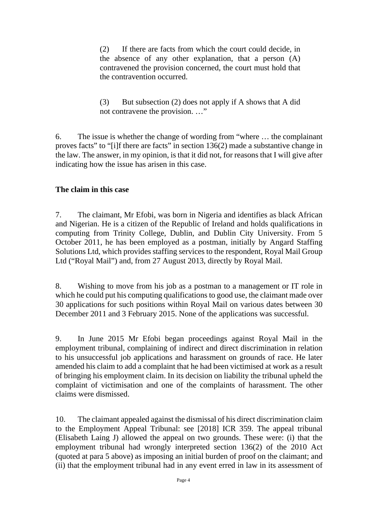(2) If there are facts from which the court could decide, in the absence of any other explanation, that a person (A) contravened the provision concerned, the court must hold that the contravention occurred.

(3) But subsection (2) does not apply if A shows that A did not contravene the provision. …"

6. The issue is whether the change of wording from "where … the complainant proves facts" to "[i]f there are facts" in section  $136(2)$  made a substantive change in the law. The answer, in my opinion, is that it did not, for reasons that I will give after indicating how the issue has arisen in this case.

## **The claim in this case**

7. The claimant, Mr Efobi, was born in Nigeria and identifies as black African and Nigerian. He is a citizen of the Republic of Ireland and holds qualifications in computing from Trinity College, Dublin, and Dublin City University. From 5 October 2011, he has been employed as a postman, initially by Angard Staffing Solutions Ltd, which provides staffing services to the respondent, Royal Mail Group Ltd ("Royal Mail") and, from 27 August 2013, directly by Royal Mail.

8. Wishing to move from his job as a postman to a management or IT role in which he could put his computing qualifications to good use, the claimant made over 30 applications for such positions within Royal Mail on various dates between 30 December 2011 and 3 February 2015. None of the applications was successful.

9. In June 2015 Mr Efobi began proceedings against Royal Mail in the employment tribunal, complaining of indirect and direct discrimination in relation to his unsuccessful job applications and harassment on grounds of race. He later amended his claim to add a complaint that he had been victimised at work as a result of bringing his employment claim. In its decision on liability the tribunal upheld the complaint of victimisation and one of the complaints of harassment. The other claims were dismissed.

10. The claimant appealed against the dismissal of his direct discrimination claim to the Employment Appeal Tribunal: see [2018] ICR 359. The appeal tribunal (Elisabeth Laing J) allowed the appeal on two grounds. These were: (i) that the employment tribunal had wrongly interpreted section 136(2) of the 2010 Act (quoted at para 5 above) as imposing an initial burden of proof on the claimant; and (ii) that the employment tribunal had in any event erred in law in its assessment of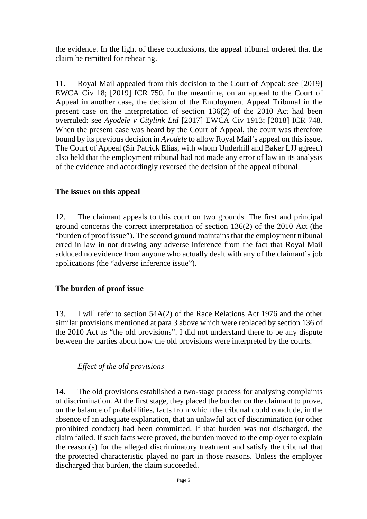the evidence. In the light of these conclusions, the appeal tribunal ordered that the claim be remitted for rehearing.

11. Royal Mail appealed from this decision to the Court of Appeal: see [2019] EWCA Civ 18; [2019] ICR 750. In the meantime, on an appeal to the Court of Appeal in another case, the decision of the Employment Appeal Tribunal in the present case on the interpretation of section 136(2) of the 2010 Act had been overruled: see *Ayodele v Citylink Ltd* [2017] EWCA Civ 1913; [2018] ICR 748. When the present case was heard by the Court of Appeal, the court was therefore bound by its previous decision in *Ayodele* to allow Royal Mail's appeal on this issue. The Court of Appeal (Sir Patrick Elias, with whom Underhill and Baker LJJ agreed) also held that the employment tribunal had not made any error of law in its analysis of the evidence and accordingly reversed the decision of the appeal tribunal.

### **The issues on this appeal**

12. The claimant appeals to this court on two grounds. The first and principal ground concerns the correct interpretation of section 136(2) of the 2010 Act (the "burden of proof issue"). The second ground maintains that the employment tribunal erred in law in not drawing any adverse inference from the fact that Royal Mail adduced no evidence from anyone who actually dealt with any of the claimant's job applications (the "adverse inference issue").

# **The burden of proof issue**

13. I will refer to section 54A(2) of the Race Relations Act 1976 and the other similar provisions mentioned at para 3 above which were replaced by section 136 of the 2010 Act as "the old provisions". I did not understand there to be any dispute between the parties about how the old provisions were interpreted by the courts.

# *Effect of the old provisions*

14. The old provisions established a two-stage process for analysing complaints of discrimination. At the first stage, they placed the burden on the claimant to prove, on the balance of probabilities, facts from which the tribunal could conclude, in the absence of an adequate explanation, that an unlawful act of discrimination (or other prohibited conduct) had been committed. If that burden was not discharged, the claim failed. If such facts were proved, the burden moved to the employer to explain the reason(s) for the alleged discriminatory treatment and satisfy the tribunal that the protected characteristic played no part in those reasons. Unless the employer discharged that burden, the claim succeeded.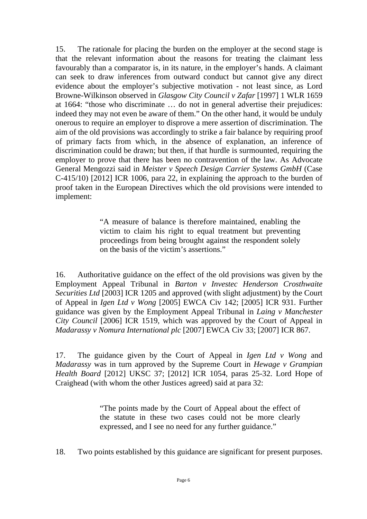15. The rationale for placing the burden on the employer at the second stage is that the relevant information about the reasons for treating the claimant less favourably than a comparator is, in its nature, in the employer's hands. A claimant can seek to draw inferences from outward conduct but cannot give any direct evidence about the employer's subjective motivation - not least since, as Lord Browne-Wilkinson observed in *Glasgow City Council v Zafar* [1997] 1 WLR 1659 at 1664: "those who discriminate … do not in general advertise their prejudices: indeed they may not even be aware of them." On the other hand, it would be unduly onerous to require an employer to disprove a mere assertion of discrimination. The aim of the old provisions was accordingly to strike a fair balance by requiring proof of primary facts from which, in the absence of explanation, an inference of discrimination could be drawn; but then, if that hurdle is surmounted, requiring the employer to prove that there has been no contravention of the law. As Advocate General Mengozzi said in *Meister v Speech Design Carrier Systems GmbH* (Case C-415/10) [2012] ICR 1006, para 22, in explaining the approach to the burden of proof taken in the European Directives which the old provisions were intended to implement:

> "A measure of balance is therefore maintained, enabling the victim to claim his right to equal treatment but preventing proceedings from being brought against the respondent solely on the basis of the victim's assertions."

16. Authoritative guidance on the effect of the old provisions was given by the Employment Appeal Tribunal in *Barton v Investec Henderson Crosthwaite Securities Ltd* [2003] ICR 1205 and approved (with slight adjustment) by the Court of Appeal in *Igen Ltd v Wong* [2005] EWCA Civ 142; [2005] ICR 931. Further guidance was given by the Employment Appeal Tribunal in *Laing v Manchester City Council* [2006] ICR 1519, which was approved by the Court of Appeal in *Madarassy v Nomura International plc* [2007] EWCA Civ 33; [2007] ICR 867.

17. The guidance given by the Court of Appeal in *Igen Ltd v Wong* and *Madarassy* was in turn approved by the Supreme Court in *Hewage v Grampian Health Board* [2012] UKSC 37; [2012] ICR 1054, paras 25-32. Lord Hope of Craighead (with whom the other Justices agreed) said at para 32:

> "The points made by the Court of Appeal about the effect of the statute in these two cases could not be more clearly expressed, and I see no need for any further guidance."

18. Two points established by this guidance are significant for present purposes.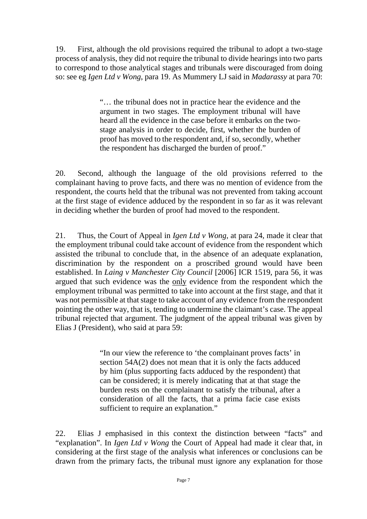19. First, although the old provisions required the tribunal to adopt a two-stage process of analysis, they did not require the tribunal to divide hearings into two parts to correspond to those analytical stages and tribunals were discouraged from doing so: see eg *Igen Ltd v Wong*, para 19. As Mummery LJ said in *Madarassy* at para 70:

> "… the tribunal does not in practice hear the evidence and the argument in two stages. The employment tribunal will have heard all the evidence in the case before it embarks on the twostage analysis in order to decide, first, whether the burden of proof has moved to the respondent and, if so, secondly, whether the respondent has discharged the burden of proof."

20. Second, although the language of the old provisions referred to the complainant having to prove facts, and there was no mention of evidence from the respondent, the courts held that the tribunal was not prevented from taking account at the first stage of evidence adduced by the respondent in so far as it was relevant in deciding whether the burden of proof had moved to the respondent.

21. Thus, the Court of Appeal in *Igen Ltd v Wong*, at para 24, made it clear that the employment tribunal could take account of evidence from the respondent which assisted the tribunal to conclude that, in the absence of an adequate explanation, discrimination by the respondent on a proscribed ground would have been established. In *Laing v Manchester City Council* [2006] ICR 1519, para 56, it was argued that such evidence was the only evidence from the respondent which the employment tribunal was permitted to take into account at the first stage, and that it was not permissible at that stage to take account of any evidence from the respondent pointing the other way, that is, tending to undermine the claimant's case. The appeal tribunal rejected that argument. The judgment of the appeal tribunal was given by Elias J (President), who said at para 59:

> "In our view the reference to 'the complainant proves facts' in section 54A(2) does not mean that it is only the facts adduced by him (plus supporting facts adduced by the respondent) that can be considered; it is merely indicating that at that stage the burden rests on the complainant to satisfy the tribunal, after a consideration of all the facts, that a prima facie case exists sufficient to require an explanation."

22. Elias J emphasised in this context the distinction between "facts" and "explanation". In *Igen Ltd v Wong* the Court of Appeal had made it clear that, in considering at the first stage of the analysis what inferences or conclusions can be drawn from the primary facts, the tribunal must ignore any explanation for those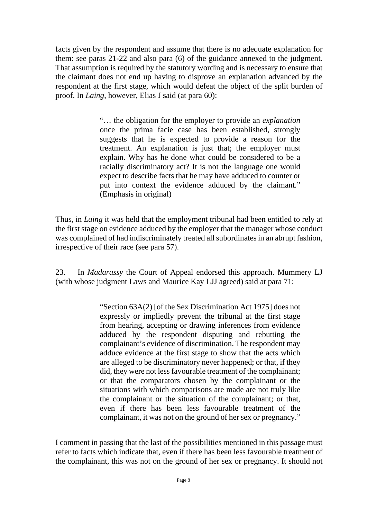facts given by the respondent and assume that there is no adequate explanation for them: see paras 21-22 and also para (6) of the guidance annexed to the judgment. That assumption is required by the statutory wording and is necessary to ensure that the claimant does not end up having to disprove an explanation advanced by the respondent at the first stage, which would defeat the object of the split burden of proof. In *Laing*, however, Elias J said (at para 60):

> "… the obligation for the employer to provide an *explanation* once the prima facie case has been established, strongly suggests that he is expected to provide a reason for the treatment. An explanation is just that; the employer must explain. Why has he done what could be considered to be a racially discriminatory act? It is not the language one would expect to describe facts that he may have adduced to counter or put into context the evidence adduced by the claimant." (Emphasis in original)

Thus, in *Laing* it was held that the employment tribunal had been entitled to rely at the first stage on evidence adduced by the employer that the manager whose conduct was complained of had indiscriminately treated all subordinates in an abrupt fashion, irrespective of their race (see para 57).

23. In *Madarassy* the Court of Appeal endorsed this approach. Mummery LJ (with whose judgment Laws and Maurice Kay LJJ agreed) said at para 71:

> "Section 63A(2) [of the Sex Discrimination Act 1975] does not expressly or impliedly prevent the tribunal at the first stage from hearing, accepting or drawing inferences from evidence adduced by the respondent disputing and rebutting the complainant's evidence of discrimination. The respondent may adduce evidence at the first stage to show that the acts which are alleged to be discriminatory never happened; or that, if they did, they were not less favourable treatment of the complainant; or that the comparators chosen by the complainant or the situations with which comparisons are made are not truly like the complainant or the situation of the complainant; or that, even if there has been less favourable treatment of the complainant, it was not on the ground of her sex or pregnancy."

I comment in passing that the last of the possibilities mentioned in this passage must refer to facts which indicate that, even if there has been less favourable treatment of the complainant, this was not on the ground of her sex or pregnancy. It should not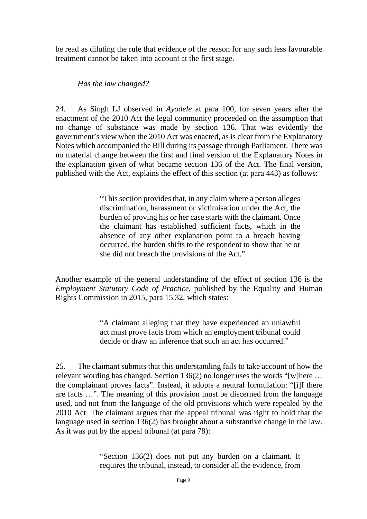be read as diluting the rule that evidence of the reason for any such less favourable treatment cannot be taken into account at the first stage.

#### *Has the law changed?*

24. As Singh LJ observed in *Ayodele* at para 100, for seven years after the enactment of the 2010 Act the legal community proceeded on the assumption that no change of substance was made by section 136. That was evidently the government's view when the 2010 Act was enacted, as is clear from the Explanatory Notes which accompanied the Bill during its passage through Parliament. There was no material change between the first and final version of the Explanatory Notes in the explanation given of what became section 136 of the Act. The final version, published with the Act, explains the effect of this section (at para 443) as follows:

> "This section provides that, in any claim where a person alleges discrimination, harassment or victimisation under the Act, the burden of proving his or her case starts with the claimant. Once the claimant has established sufficient facts, which in the absence of any other explanation point to a breach having occurred, the burden shifts to the respondent to show that he or she did not breach the provisions of the Act."

Another example of the general understanding of the effect of section 136 is the *Employment Statutory Code of Practice*, published by the Equality and Human Rights Commission in 2015, para 15.32, which states:

> "A claimant alleging that they have experienced an unlawful act must prove facts from which an employment tribunal could decide or draw an inference that such an act has occurred."

25. The claimant submits that this understanding fails to take account of how the relevant wording has changed. Section 136(2) no longer uses the words "[w]here … the complainant proves facts". Instead, it adopts a neutral formulation: "[i]f there are facts …". The meaning of this provision must be discerned from the language used, and not from the language of the old provisions which were repealed by the 2010 Act. The claimant argues that the appeal tribunal was right to hold that the language used in section 136(2) has brought about a substantive change in the law. As it was put by the appeal tribunal (at para 78):

> "Section 136(2) does not put any burden on a claimant. It requires the tribunal, instead, to consider all the evidence, from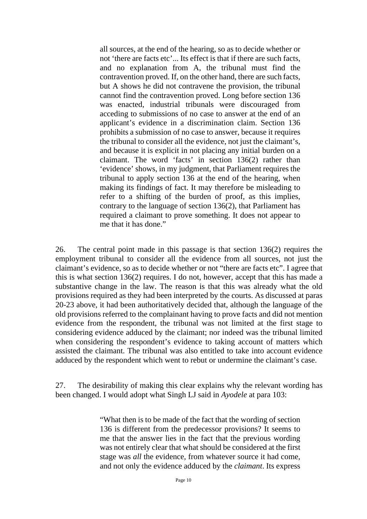all sources, at the end of the hearing, so as to decide whether or not 'there are facts etc'... Its effect is that if there are such facts, and no explanation from A, the tribunal must find the contravention proved. If, on the other hand, there are such facts, but A shows he did not contravene the provision, the tribunal cannot find the contravention proved. Long before section 136 was enacted, industrial tribunals were discouraged from acceding to submissions of no case to answer at the end of an applicant's evidence in a discrimination claim. Section 136 prohibits a submission of no case to answer, because it requires the tribunal to consider all the evidence, not just the claimant's, and because it is explicit in not placing any initial burden on a claimant. The word 'facts' in section 136(2) rather than 'evidence' shows, in my judgment, that Parliament requires the tribunal to apply section 136 at the end of the hearing, when making its findings of fact. It may therefore be misleading to refer to a shifting of the burden of proof, as this implies, contrary to the language of section 136(2), that Parliament has required a claimant to prove something. It does not appear to me that it has done."

26. The central point made in this passage is that section 136(2) requires the employment tribunal to consider all the evidence from all sources, not just the claimant's evidence, so as to decide whether or not "there are facts etc". I agree that this is what section 136(2) requires. I do not, however, accept that this has made a substantive change in the law. The reason is that this was already what the old provisions required as they had been interpreted by the courts. As discussed at paras 20-23 above, it had been authoritatively decided that, although the language of the old provisions referred to the complainant having to prove facts and did not mention evidence from the respondent, the tribunal was not limited at the first stage to considering evidence adduced by the claimant; nor indeed was the tribunal limited when considering the respondent's evidence to taking account of matters which assisted the claimant. The tribunal was also entitled to take into account evidence adduced by the respondent which went to rebut or undermine the claimant's case.

27. The desirability of making this clear explains why the relevant wording has been changed. I would adopt what Singh LJ said in *Ayodele* at para 103:

> "What then is to be made of the fact that the wording of section 136 is different from the predecessor provisions? It seems to me that the answer lies in the fact that the previous wording was not entirely clear that what should be considered at the first stage was *all* the evidence, from whatever source it had come, and not only the evidence adduced by the *claimant*. Its express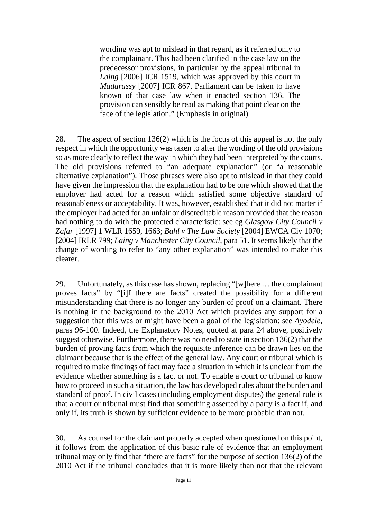wording was apt to mislead in that regard, as it referred only to the complainant. This had been clarified in the case law on the predecessor provisions, in particular by the appeal tribunal in *Laing* [2006] ICR 1519, which was approved by this court in *Madarassy* [2007] ICR 867. Parliament can be taken to have known of that case law when it enacted section 136. The provision can sensibly be read as making that point clear on the face of the legislation." (Emphasis in original)

28. The aspect of section 136(2) which is the focus of this appeal is not the only respect in which the opportunity was taken to alter the wording of the old provisions so as more clearly to reflect the way in which they had been interpreted by the courts. The old provisions referred to "an adequate explanation" (or "a reasonable alternative explanation"). Those phrases were also apt to mislead in that they could have given the impression that the explanation had to be one which showed that the employer had acted for a reason which satisfied some objective standard of reasonableness or acceptability. It was, however, established that it did not matter if the employer had acted for an unfair or discreditable reason provided that the reason had nothing to do with the protected characteristic: see eg *Glasgow City Council v Zafar* [1997] 1 WLR 1659, 1663; *Bahl v The Law Society* [2004] EWCA Civ 1070; [2004] IRLR 799; *Laing v Manchester City Council*, para 51. It seems likely that the change of wording to refer to "any other explanation" was intended to make this clearer.

29. Unfortunately, as this case has shown, replacing "[w]here … the complainant proves facts" by "[i]f there are facts" created the possibility for a different misunderstanding that there is no longer any burden of proof on a claimant. There is nothing in the background to the 2010 Act which provides any support for a suggestion that this was or might have been a goal of the legislation: see *Ayodele*, paras 96-100. Indeed, the Explanatory Notes, quoted at para 24 above, positively suggest otherwise. Furthermore, there was no need to state in section 136(2) that the burden of proving facts from which the requisite inference can be drawn lies on the claimant because that is the effect of the general law. Any court or tribunal which is required to make findings of fact may face a situation in which it is unclear from the evidence whether something is a fact or not. To enable a court or tribunal to know how to proceed in such a situation, the law has developed rules about the burden and standard of proof. In civil cases (including employment disputes) the general rule is that a court or tribunal must find that something asserted by a party is a fact if, and only if, its truth is shown by sufficient evidence to be more probable than not.

30. As counsel for the claimant properly accepted when questioned on this point, it follows from the application of this basic rule of evidence that an employment tribunal may only find that "there are facts" for the purpose of section 136(2) of the 2010 Act if the tribunal concludes that it is more likely than not that the relevant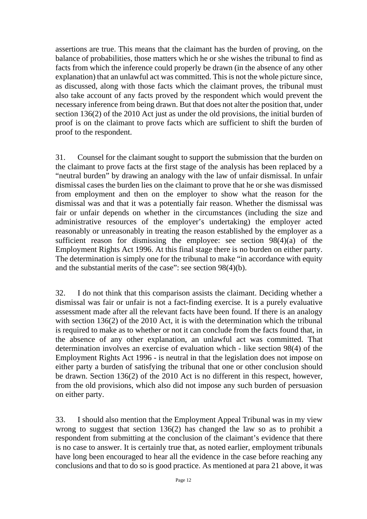assertions are true. This means that the claimant has the burden of proving, on the balance of probabilities, those matters which he or she wishes the tribunal to find as facts from which the inference could properly be drawn (in the absence of any other explanation) that an unlawful act was committed. This is not the whole picture since, as discussed, along with those facts which the claimant proves, the tribunal must also take account of any facts proved by the respondent which would prevent the necessary inference from being drawn. But that does not alter the position that, under section 136(2) of the 2010 Act just as under the old provisions, the initial burden of proof is on the claimant to prove facts which are sufficient to shift the burden of proof to the respondent.

31. Counsel for the claimant sought to support the submission that the burden on the claimant to prove facts at the first stage of the analysis has been replaced by a "neutral burden" by drawing an analogy with the law of unfair dismissal. In unfair dismissal cases the burden lies on the claimant to prove that he or she was dismissed from employment and then on the employer to show what the reason for the dismissal was and that it was a potentially fair reason. Whether the dismissal was fair or unfair depends on whether in the circumstances (including the size and administrative resources of the employer's undertaking) the employer acted reasonably or unreasonably in treating the reason established by the employer as a sufficient reason for dismissing the employee: see section 98(4)(a) of the Employment Rights Act 1996. At this final stage there is no burden on either party. The determination is simply one for the tribunal to make "in accordance with equity and the substantial merits of the case": see section 98(4)(b).

32. I do not think that this comparison assists the claimant. Deciding whether a dismissal was fair or unfair is not a fact-finding exercise. It is a purely evaluative assessment made after all the relevant facts have been found. If there is an analogy with section 136(2) of the 2010 Act, it is with the determination which the tribunal is required to make as to whether or not it can conclude from the facts found that, in the absence of any other explanation, an unlawful act was committed. That determination involves an exercise of evaluation which - like section 98(4) of the Employment Rights Act 1996 - is neutral in that the legislation does not impose on either party a burden of satisfying the tribunal that one or other conclusion should be drawn. Section 136(2) of the 2010 Act is no different in this respect, however, from the old provisions, which also did not impose any such burden of persuasion on either party.

33. I should also mention that the Employment Appeal Tribunal was in my view wrong to suggest that section 136(2) has changed the law so as to prohibit a respondent from submitting at the conclusion of the claimant's evidence that there is no case to answer. It is certainly true that, as noted earlier, employment tribunals have long been encouraged to hear all the evidence in the case before reaching any conclusions and that to do so is good practice. As mentioned at para 21 above, it was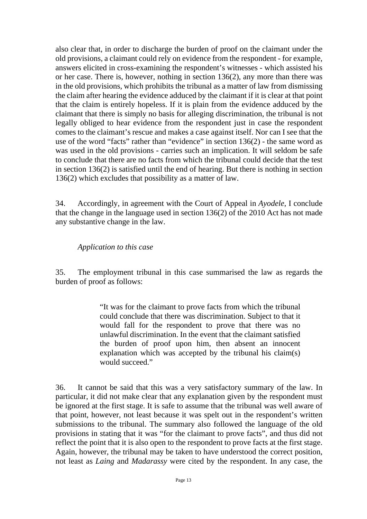also clear that, in order to discharge the burden of proof on the claimant under the old provisions, a claimant could rely on evidence from the respondent - for example, answers elicited in cross-examining the respondent's witnesses - which assisted his or her case. There is, however, nothing in section 136(2), any more than there was in the old provisions, which prohibits the tribunal as a matter of law from dismissing the claim after hearing the evidence adduced by the claimant if it is clear at that point that the claim is entirely hopeless. If it is plain from the evidence adduced by the claimant that there is simply no basis for alleging discrimination, the tribunal is not legally obliged to hear evidence from the respondent just in case the respondent comes to the claimant's rescue and makes a case against itself. Nor can I see that the use of the word "facts" rather than "evidence" in section 136(2) - the same word as was used in the old provisions - carries such an implication. It will seldom be safe to conclude that there are no facts from which the tribunal could decide that the test in section 136(2) is satisfied until the end of hearing. But there is nothing in section 136(2) which excludes that possibility as a matter of law.

34. Accordingly, in agreement with the Court of Appeal in *Ayodele*, I conclude that the change in the language used in section 136(2) of the 2010 Act has not made any substantive change in the law.

*Application to this case*

35. The employment tribunal in this case summarised the law as regards the burden of proof as follows:

> "It was for the claimant to prove facts from which the tribunal could conclude that there was discrimination. Subject to that it would fall for the respondent to prove that there was no unlawful discrimination. In the event that the claimant satisfied the burden of proof upon him, then absent an innocent explanation which was accepted by the tribunal his claim(s) would succeed."

36. It cannot be said that this was a very satisfactory summary of the law. In particular, it did not make clear that any explanation given by the respondent must be ignored at the first stage. It is safe to assume that the tribunal was well aware of that point, however, not least because it was spelt out in the respondent's written submissions to the tribunal. The summary also followed the language of the old provisions in stating that it was "for the claimant to prove facts", and thus did not reflect the point that it is also open to the respondent to prove facts at the first stage. Again, however, the tribunal may be taken to have understood the correct position, not least as *Laing* and *Madarassy* were cited by the respondent. In any case, the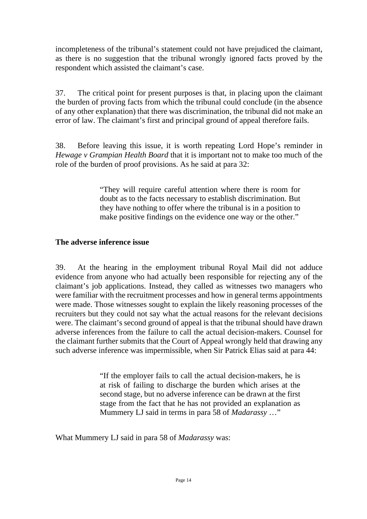incompleteness of the tribunal's statement could not have prejudiced the claimant, as there is no suggestion that the tribunal wrongly ignored facts proved by the respondent which assisted the claimant's case.

37. The critical point for present purposes is that, in placing upon the claimant the burden of proving facts from which the tribunal could conclude (in the absence of any other explanation) that there was discrimination, the tribunal did not make an error of law. The claimant's first and principal ground of appeal therefore fails.

38. Before leaving this issue, it is worth repeating Lord Hope's reminder in *Hewage v Grampian Health Board* that it is important not to make too much of the role of the burden of proof provisions. As he said at para 32:

> "They will require careful attention where there is room for doubt as to the facts necessary to establish discrimination. But they have nothing to offer where the tribunal is in a position to make positive findings on the evidence one way or the other."

### **The adverse inference issue**

39. At the hearing in the employment tribunal Royal Mail did not adduce evidence from anyone who had actually been responsible for rejecting any of the claimant's job applications. Instead, they called as witnesses two managers who were familiar with the recruitment processes and how in general terms appointments were made. Those witnesses sought to explain the likely reasoning processes of the recruiters but they could not say what the actual reasons for the relevant decisions were. The claimant's second ground of appeal is that the tribunal should have drawn adverse inferences from the failure to call the actual decision-makers. Counsel for the claimant further submits that the Court of Appeal wrongly held that drawing any such adverse inference was impermissible, when Sir Patrick Elias said at para 44:

> "If the employer fails to call the actual decision-makers, he is at risk of failing to discharge the burden which arises at the second stage, but no adverse inference can be drawn at the first stage from the fact that he has not provided an explanation as Mummery LJ said in terms in para 58 of *Madarassy* …"

What Mummery LJ said in para 58 of *Madarassy* was: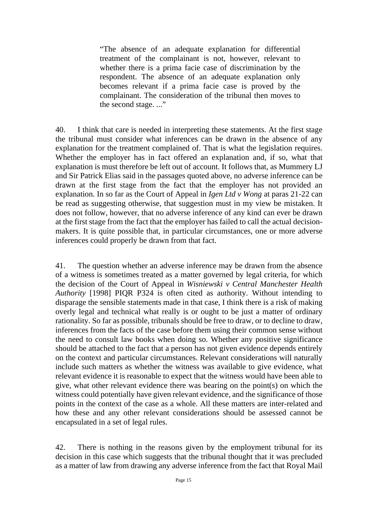"The absence of an adequate explanation for differential treatment of the complainant is not, however, relevant to whether there is a prima facie case of discrimination by the respondent. The absence of an adequate explanation only becomes relevant if a prima facie case is proved by the complainant. The consideration of the tribunal then moves to the second stage. ..."

40. I think that care is needed in interpreting these statements. At the first stage the tribunal must consider what inferences can be drawn in the absence of any explanation for the treatment complained of. That is what the legislation requires. Whether the employer has in fact offered an explanation and, if so, what that explanation is must therefore be left out of account. It follows that, as Mummery LJ and Sir Patrick Elias said in the passages quoted above, no adverse inference can be drawn at the first stage from the fact that the employer has not provided an explanation. In so far as the Court of Appeal in *Igen Ltd v Wong* at paras 21-22 can be read as suggesting otherwise, that suggestion must in my view be mistaken. It does not follow, however, that no adverse inference of any kind can ever be drawn at the first stage from the fact that the employer has failed to call the actual decisionmakers. It is quite possible that, in particular circumstances, one or more adverse inferences could properly be drawn from that fact.

41. The question whether an adverse inference may be drawn from the absence of a witness is sometimes treated as a matter governed by legal criteria, for which the decision of the Court of Appeal in *Wisniewski v Central Manchester Health Authority* [1998] PIQR P324 is often cited as authority. Without intending to disparage the sensible statements made in that case, I think there is a risk of making overly legal and technical what really is or ought to be just a matter of ordinary rationality. So far as possible, tribunals should be free to draw, or to decline to draw, inferences from the facts of the case before them using their common sense without the need to consult law books when doing so. Whether any positive significance should be attached to the fact that a person has not given evidence depends entirely on the context and particular circumstances. Relevant considerations will naturally include such matters as whether the witness was available to give evidence, what relevant evidence it is reasonable to expect that the witness would have been able to give, what other relevant evidence there was bearing on the point(s) on which the witness could potentially have given relevant evidence, and the significance of those points in the context of the case as a whole. All these matters are inter-related and how these and any other relevant considerations should be assessed cannot be encapsulated in a set of legal rules.

42. There is nothing in the reasons given by the employment tribunal for its decision in this case which suggests that the tribunal thought that it was precluded as a matter of law from drawing any adverse inference from the fact that Royal Mail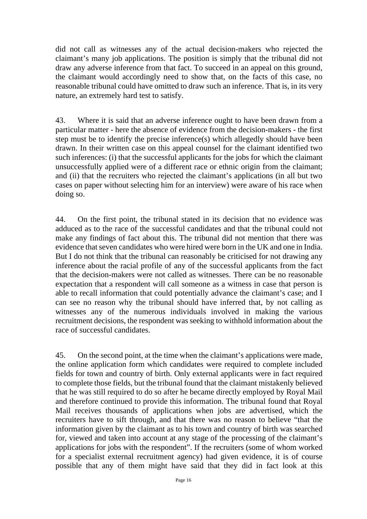did not call as witnesses any of the actual decision-makers who rejected the claimant's many job applications. The position is simply that the tribunal did not draw any adverse inference from that fact. To succeed in an appeal on this ground, the claimant would accordingly need to show that, on the facts of this case, no reasonable tribunal could have omitted to draw such an inference. That is, in its very nature, an extremely hard test to satisfy.

43. Where it is said that an adverse inference ought to have been drawn from a particular matter - here the absence of evidence from the decision-makers - the first step must be to identify the precise inference(s) which allegedly should have been drawn. In their written case on this appeal counsel for the claimant identified two such inferences: (i) that the successful applicants for the jobs for which the claimant unsuccessfully applied were of a different race or ethnic origin from the claimant; and (ii) that the recruiters who rejected the claimant's applications (in all but two cases on paper without selecting him for an interview) were aware of his race when doing so.

44. On the first point, the tribunal stated in its decision that no evidence was adduced as to the race of the successful candidates and that the tribunal could not make any findings of fact about this. The tribunal did not mention that there was evidence that seven candidates who were hired were born in the UK and one in India. But I do not think that the tribunal can reasonably be criticised for not drawing any inference about the racial profile of any of the successful applicants from the fact that the decision-makers were not called as witnesses. There can be no reasonable expectation that a respondent will call someone as a witness in case that person is able to recall information that could potentially advance the claimant's case; and I can see no reason why the tribunal should have inferred that, by not calling as witnesses any of the numerous individuals involved in making the various recruitment decisions, the respondent was seeking to withhold information about the race of successful candidates.

45. On the second point, at the time when the claimant's applications were made, the online application form which candidates were required to complete included fields for town and country of birth. Only external applicants were in fact required to complete those fields, but the tribunal found that the claimant mistakenly believed that he was still required to do so after he became directly employed by Royal Mail and therefore continued to provide this information. The tribunal found that Royal Mail receives thousands of applications when jobs are advertised, which the recruiters have to sift through, and that there was no reason to believe "that the information given by the claimant as to his town and country of birth was searched for, viewed and taken into account at any stage of the processing of the claimant's applications for jobs with the respondent". If the recruiters (some of whom worked for a specialist external recruitment agency) had given evidence, it is of course possible that any of them might have said that they did in fact look at this